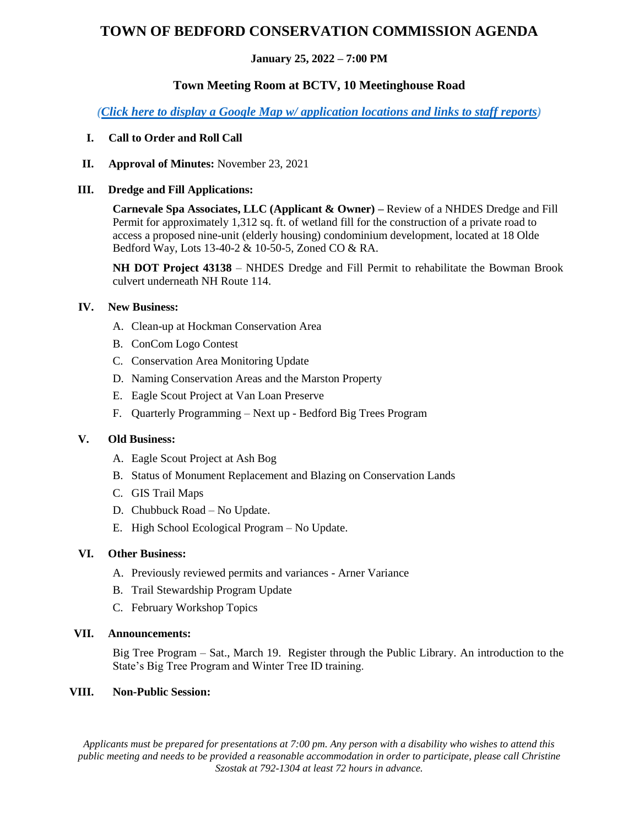# **TOWN OF BEDFORD CONSERVATION COMMISSION AGENDA**

#### **January 25, 2022 – 7:00 PM**

# **Town Meeting Room at BCTV, 10 Meetinghouse Road**

*[\(Click here to display a Google Map w/ application locations and links to staff reports\)](https://www.google.com/maps/d/edit?hl=en&mid=14xxox-tFRdlupO37Kt6u87uaukifJVE9&ll=42.96622980102475%2C-71.50525801597423&z=20)*

## **I. Call to Order and Roll Call**

**II. Approval of Minutes:** November 23, 2021

#### **III. Dredge and Fill Applications:**

**Carnevale Spa Associates, LLC (Applicant & Owner) –** Review of a NHDES Dredge and Fill Permit for approximately 1,312 sq. ft. of wetland fill for the construction of a private road to access a proposed nine-unit (elderly housing) condominium development, located at 18 Olde Bedford Way, Lots 13-40-2 & 10-50-5, Zoned CO & RA.

**NH DOT Project 43138** – NHDES Dredge and Fill Permit to rehabilitate the Bowman Brook culvert underneath NH Route 114.

## **IV. New Business:**

- A. Clean-up at Hockman Conservation Area
- B. ConCom Logo Contest
- C. Conservation Area Monitoring Update
- D. Naming Conservation Areas and the Marston Property
- E. Eagle Scout Project at Van Loan Preserve
- F. Quarterly Programming Next up Bedford Big Trees Program

#### **V. Old Business:**

- A. Eagle Scout Project at Ash Bog
- B. Status of Monument Replacement and Blazing on Conservation Lands
- C. GIS Trail Maps
- D. Chubbuck Road No Update.
- E. High School Ecological Program No Update.

#### **VI. Other Business:**

- A. Previously reviewed permits and variances Arner Variance
- B. Trail Stewardship Program Update
- C. February Workshop Topics

#### **VII. Announcements:**

Big Tree Program – Sat., March 19. Register through the Public Library. An introduction to the State's Big Tree Program and Winter Tree ID training.

#### **VIII. Non-Public Session:**

*Applicants must be prepared for presentations at 7:00 pm. Any person with a disability who wishes to attend this public meeting and needs to be provided a reasonable accommodation in order to participate, please call Christine Szostak at 792-1304 at least 72 hours in advance.*